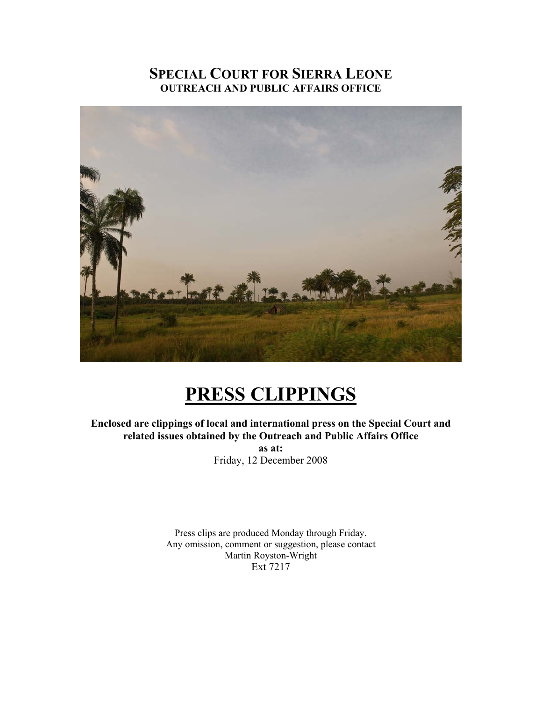## **SPECIAL COURT FOR SIERRA LEONE OUTREACH AND PUBLIC AFFAIRS OFFICE**



# **PRESS CLIPPINGS**

**Enclosed are clippings of local and international press on the Special Court and related issues obtained by the Outreach and Public Affairs Office as at:**  Friday, 12 December 2008

> Press clips are produced Monday through Friday. Any omission, comment or suggestion, please contact Martin Royston-Wright Ext 7217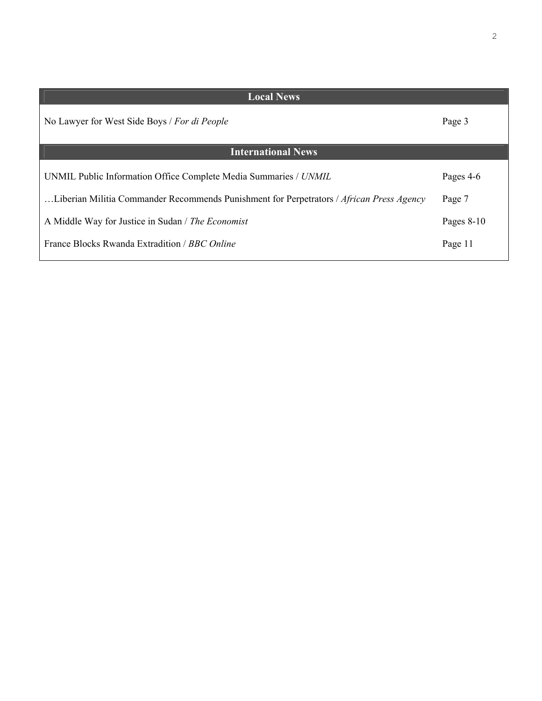| <b>Local News</b>                                                                        |              |
|------------------------------------------------------------------------------------------|--------------|
| No Lawyer for West Side Boys / For di People                                             | Page 3       |
| <b>International News</b>                                                                |              |
| UNMIL Public Information Office Complete Media Summaries / UNMIL                         | Pages 4-6    |
| Liberian Militia Commander Recommends Punishment for Perpetrators / African Press Agency | Page 7       |
| A Middle Way for Justice in Sudan / The Economist                                        | Pages $8-10$ |
| France Blocks Rwanda Extradition / BBC Online                                            | Page 11      |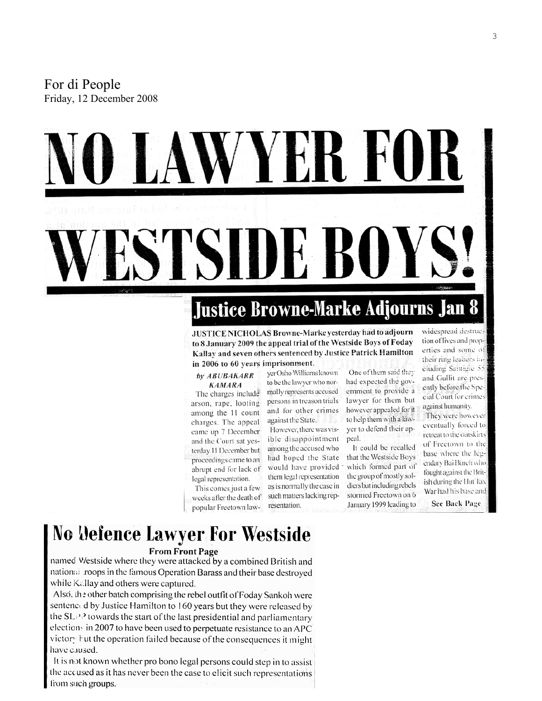### For di People Friday, 12 December 2008



JUSTICE NICHOLAS Browne-Marke yesterday had to adjourn to 8 January 2009 the appeal trial of the Westside Boys of Foday Kallay and seven others sentenced by Justice Patrick Hamilton in 2006 to 60 years imprisonment.

#### by ABUBAKARR **KAMARA**

The charges include arson, rape, looting among the 11 count charges. The appeal came up 7 December and the Court sat yesterday 11 December but proceedings came to an abrupt end for lack of legal representation.

This comes just a few weeks after the death of popular Freetown law-

yer Osho Williams known to be the lawyer who normally represents accused persons in treason trials and for other crimes against the State. However, there was visible disappointment among the accused who had hoped the State would have provided them legal representation as is normally the case in

such matters lacking rep-

resentation.

One of them said they had expected the government to provide a lawyer for them but however appealed for it to help them with a lawyer to defend their appeal.

It could be recalled that the Westside Boys which formed part of the group of mostly soldiers but including rebels stormed Freetown on 6 January 1999 leading to widespread destruction of lives and properties and some of their ring leaders including Santigle 55 and Gullit are presently before the Special Court for crimes against humanity.

They were however eventually forced to retreat to the outskirts of Freetown to the base where the legendary Bai Bürch who fought against the British during the Hut Tax War had his base and

See Back Page

# **No Defence Lawyer For Westside**

#### **From Front Page**

named Westside where they were attacked by a combined British and national roops in the famous Operation Barass and their base destroyed while Kallay and others were captured.

Also, the other batch comprising the rebel outfit of Foday Sankoh were sentenced by Justice Hamilton to 160 years but they were released by the  $SL^{p}$  towards the start of the last presidential and parliamentary elections in 2007 to have been used to perpetuate resistance to an APC victory but the operation failed because of the consequences it might have caused.

It is not known whether pro bono legal persons could step in to assist the accused as it has never been the case to elicit such representations from such groups.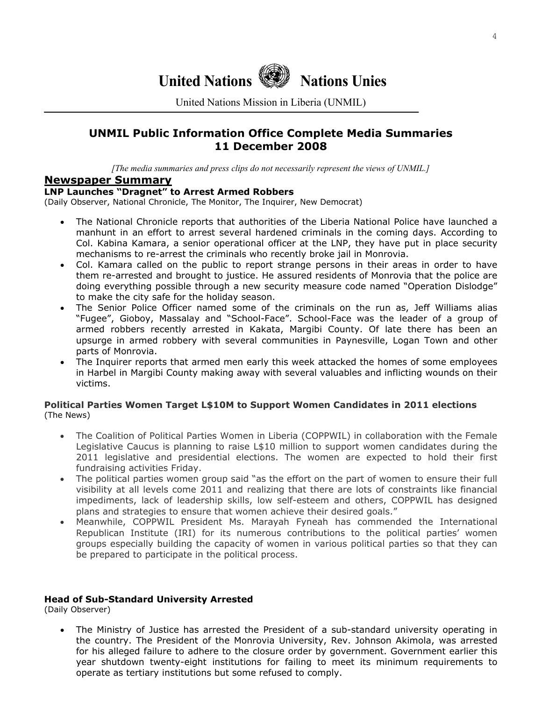

United Nations Mission in Liberia (UNMIL)

### **UNMIL Public Information Office Complete Media Summaries 11 December 2008**

*[The media summaries and press clips do not necessarily represent the views of UNMIL.]*

#### **Newspaper Summary**

#### **LNP Launches "Dragnet" to Arrest Armed Robbers**

(Daily Observer, National Chronicle, The Monitor, The Inquirer, New Democrat)

- The National Chronicle reports that authorities of the Liberia National Police have launched a manhunt in an effort to arrest several hardened criminals in the coming days. According to Col. Kabina Kamara, a senior operational officer at the LNP, they have put in place security mechanisms to re-arrest the criminals who recently broke jail in Monrovia.
- Col. Kamara called on the public to report strange persons in their areas in order to have them re-arrested and brought to justice. He assured residents of Monrovia that the police are doing everything possible through a new security measure code named "Operation Dislodge" to make the city safe for the holiday season.
- The Senior Police Officer named some of the criminals on the run as, Jeff Williams alias "Fugee", Gioboy, Massalay and "School-Face". School-Face was the leader of a group of armed robbers recently arrested in Kakata, Margibi County. Of late there has been an upsurge in armed robbery with several communities in Paynesville, Logan Town and other parts of Monrovia.
- The Inquirer reports that armed men early this week attacked the homes of some employees in Harbel in Margibi County making away with several valuables and inflicting wounds on their victims.

#### **Political Parties Women Target L\$10M to Support Women Candidates in 2011 elections**  (The News)

- The Coalition of Political Parties Women in Liberia (COPPWIL) in collaboration with the Female Legislative Caucus is planning to raise L\$10 million to support women candidates during the 2011 legislative and presidential elections. The women are expected to hold their first fundraising activities Friday.
- The political parties women group said "as the effort on the part of women to ensure their full visibility at all levels come 2011 and realizing that there are lots of constraints like financial impediments, lack of leadership skills, low self-esteem and others, COPPWIL has designed plans and strategies to ensure that women achieve their desired goals."
- Meanwhile, COPPWIL President Ms. Marayah Fyneah has commended the International Republican Institute (IRI) for its numerous contributions to the political parties' women groups especially building the capacity of women in various political parties so that they can be prepared to participate in the political process.

#### **Head of Sub-Standard University Arrested**

(Daily Observer)

• The Ministry of Justice has arrested the President of a sub-standard university operating in the country. The President of the Monrovia University, Rev. Johnson Akimola, was arrested for his alleged failure to adhere to the closure order by government. Government earlier this year shutdown twenty-eight institutions for failing to meet its minimum requirements to operate as tertiary institutions but some refused to comply.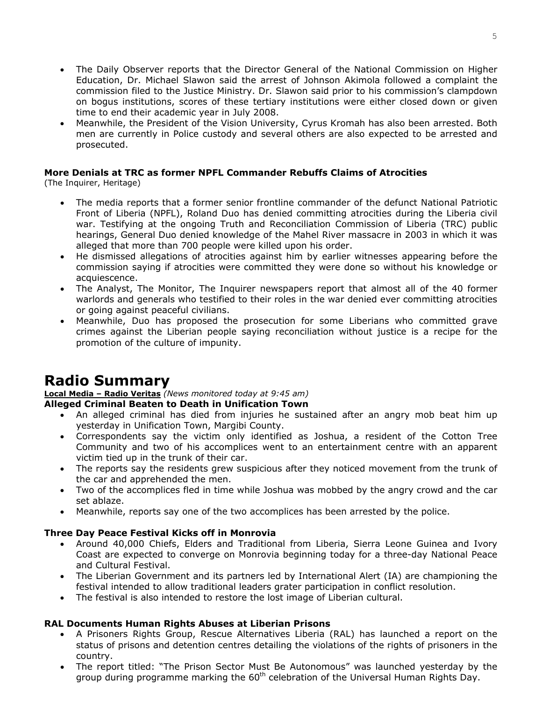- The Daily Observer reports that the Director General of the National Commission on Higher Education, Dr. Michael Slawon said the arrest of Johnson Akimola followed a complaint the commission filed to the Justice Ministry. Dr. Slawon said prior to his commission's clampdown on bogus institutions, scores of these tertiary institutions were either closed down or given time to end their academic year in July 2008.
- Meanwhile, the President of the Vision University, Cyrus Kromah has also been arrested. Both men are currently in Police custody and several others are also expected to be arrested and prosecuted.

#### **More Denials at TRC as former NPFL Commander Rebuffs Claims of Atrocities**

(The Inquirer, Heritage)

- The media reports that a former senior frontline commander of the defunct National Patriotic Front of Liberia (NPFL), Roland Duo has denied committing atrocities during the Liberia civil war. Testifying at the ongoing Truth and Reconciliation Commission of Liberia (TRC) public hearings, General Duo denied knowledge of the Mahel River massacre in 2003 in which it was alleged that more than 700 people were killed upon his order.
- He dismissed allegations of atrocities against him by earlier witnesses appearing before the commission saying if atrocities were committed they were done so without his knowledge or acquiescence.
- The Analyst, The Monitor, The Inquirer newspapers report that almost all of the 40 former warlords and generals who testified to their roles in the war denied ever committing atrocities or going against peaceful civilians.
- Meanwhile, Duo has proposed the prosecution for some Liberians who committed grave crimes against the Liberian people saying reconciliation without justice is a recipe for the promotion of the culture of impunity.

## **Radio Summary**

#### **Local Media – Radio Veritas** *(News monitored today at 9:45 am)*

#### **Alleged Criminal Beaten to Death in Unification Town**

- An alleged criminal has died from injuries he sustained after an angry mob beat him up yesterday in Unification Town, Margibi County.
- Correspondents say the victim only identified as Joshua, a resident of the Cotton Tree Community and two of his accomplices went to an entertainment centre with an apparent victim tied up in the trunk of their car.
- The reports say the residents grew suspicious after they noticed movement from the trunk of the car and apprehended the men.
- Two of the accomplices fled in time while Joshua was mobbed by the angry crowd and the car set ablaze.
- Meanwhile, reports say one of the two accomplices has been arrested by the police.

#### **Three Day Peace Festival Kicks off in Monrovia**

- Around 40,000 Chiefs, Elders and Traditional from Liberia, Sierra Leone Guinea and Ivory Coast are expected to converge on Monrovia beginning today for a three-day National Peace and Cultural Festival.
- The Liberian Government and its partners led by International Alert (IA) are championing the festival intended to allow traditional leaders grater participation in conflict resolution.
- The festival is also intended to restore the lost image of Liberian cultural.

#### **RAL Documents Human Rights Abuses at Liberian Prisons**

- A Prisoners Rights Group, Rescue Alternatives Liberia (RAL) has launched a report on the status of prisons and detention centres detailing the violations of the rights of prisoners in the country.
- The report titled: "The Prison Sector Must Be Autonomous" was launched yesterday by the group during programme marking the 60<sup>th</sup> celebration of the Universal Human Rights Day.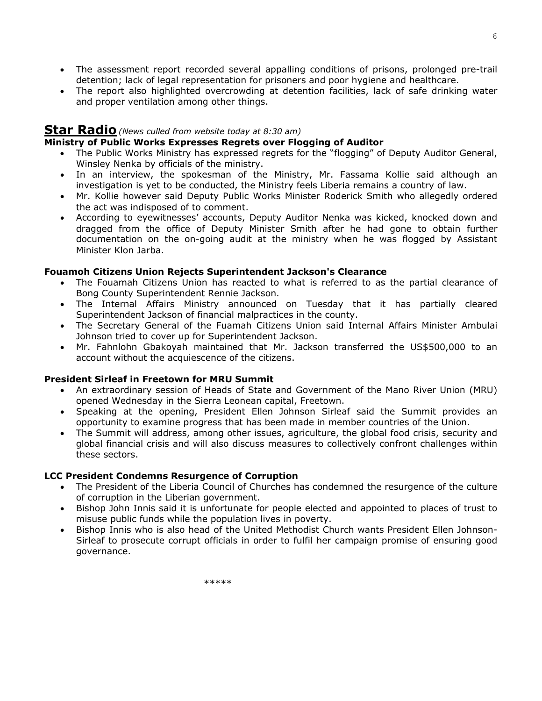- The assessment report recorded several appalling conditions of prisons, prolonged pre-trail detention; lack of legal representation for prisoners and poor hygiene and healthcare.
- The report also highlighted overcrowding at detention facilities, lack of safe drinking water and proper ventilation among other things.

#### **Star Radio***(News culled from website today at 8:30 am)*

#### **Ministry of Public Works Expresses Regrets over Flogging of Auditor**

- The Public Works Ministry has expressed regrets for the "flogging" of Deputy Auditor General, Winsley Nenka by officials of the ministry.
- In an interview, the spokesman of the Ministry, Mr. Fassama Kollie said although an investigation is yet to be conducted, the Ministry feels Liberia remains a country of law.
- Mr. Kollie however said Deputy Public Works Minister Roderick Smith who allegedly ordered the act was indisposed of to comment.
- According to eyewitnesses' accounts, Deputy Auditor Nenka was kicked, knocked down and dragged from the office of Deputy Minister Smith after he had gone to obtain further documentation on the on-going audit at the ministry when he was flogged by Assistant Minister Klon Jarba.

#### **Fouamoh Citizens Union Rejects Superintendent Jackson's Clearance**

- The Fouamah Citizens Union has reacted to what is referred to as the partial clearance of Bong County Superintendent Rennie Jackson.
- The Internal Affairs Ministry announced on Tuesday that it has partially cleared Superintendent Jackson of financial malpractices in the county.
- The Secretary General of the Fuamah Citizens Union said Internal Affairs Minister Ambulai Johnson tried to cover up for Superintendent Jackson.
- Mr. Fahnlohn Gbakoyah maintained that Mr. Jackson transferred the US\$500,000 to an account without the acquiescence of the citizens.

#### **President Sirleaf in Freetown for MRU Summit**

- An extraordinary session of Heads of State and Government of the Mano River Union (MRU) opened Wednesday in the Sierra Leonean capital, Freetown.
- Speaking at the opening, President Ellen Johnson Sirleaf said the Summit provides an opportunity to examine progress that has been made in member countries of the Union.
- The Summit will address, among other issues, agriculture, the global food crisis, security and global financial crisis and will also discuss measures to collectively confront challenges within these sectors.

#### **LCC President Condemns Resurgence of Corruption**

- The President of the Liberia Council of Churches has condemned the resurgence of the culture of corruption in the Liberian government.
- Bishop John Innis said it is unfortunate for people elected and appointed to places of trust to misuse public funds while the population lives in poverty.
- Bishop Innis who is also head of the United Methodist Church wants President Ellen Johnson-Sirleaf to prosecute corrupt officials in order to fulfil her campaign promise of ensuring good governance.

6

\*\*\*\*\*\*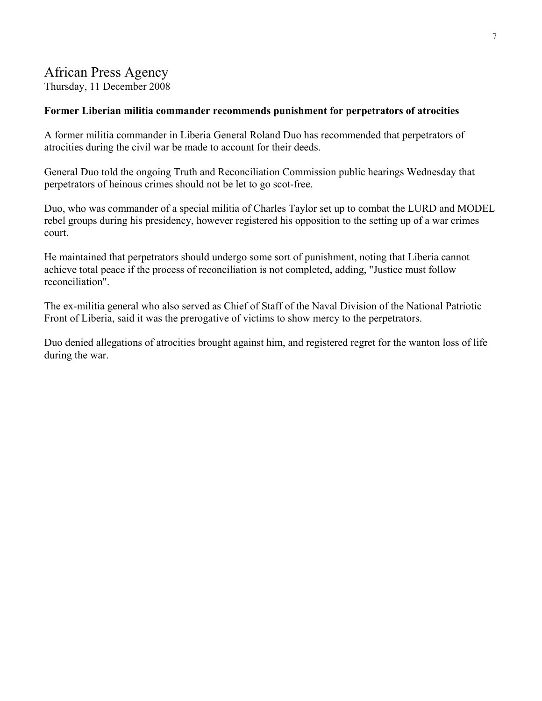## African Press Agency

Thursday, 11 December 2008

#### **Former Liberian militia commander recommends punishment for perpetrators of atrocities**

A former militia commander in Liberia General Roland Duo has recommended that perpetrators of atrocities during the civil war be made to account for their deeds.

General Duo told the ongoing Truth and Reconciliation Commission public hearings Wednesday that perpetrators of heinous crimes should not be let to go scot-free.

Duo, who was commander of a special militia of Charles Taylor set up to combat the LURD and MODEL rebel groups during his presidency, however registered his opposition to the setting up of a war crimes court.

He maintained that perpetrators should undergo some sort of punishment, noting that Liberia cannot achieve total peace if the process of reconciliation is not completed, adding, "Justice must follow reconciliation".

The ex-militia general who also served as Chief of Staff of the Naval Division of the National Patriotic Front of Liberia, said it was the prerogative of victims to show mercy to the perpetrators.

Duo denied allegations of atrocities brought against him, and registered regret for the wanton loss of life during the war.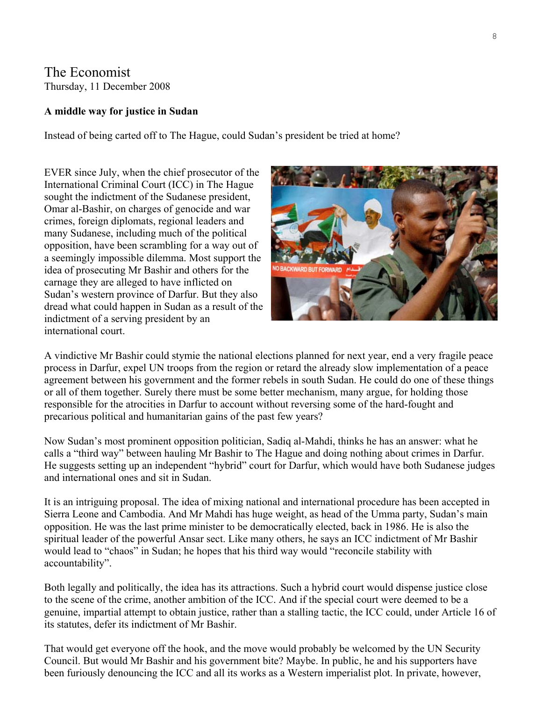## The Economist

Thursday, 11 December 2008

#### **A middle way for justice in Sudan**

Instead of being carted off to The Hague, could Sudan's president be tried at home?

EVER since July, when the chief prosecutor of the International Criminal Court (ICC) in The Hague sought the indictment of the Sudanese president, Omar al-Bashir, on charges of genocide and war crimes, foreign diplomats, regional leaders and many Sudanese, including much of the political opposition, have been scrambling for a way out of a seemingly impossible dilemma. Most support the idea of prosecuting Mr Bashir and others for the carnage they are alleged to have inflicted on Sudan's western province of Darfur. But they also dread what could happen in Sudan as a result of the indictment of a serving president by an international court.



A vindictive Mr Bashir could stymie the national elections planned for next year, end a very fragile peace process in Darfur, expel UN troops from the region or retard the already slow implementation of a peace agreement between his government and the former rebels in south Sudan. He could do one of these things or all of them together. Surely there must be some better mechanism, many argue, for holding those responsible for the atrocities in Darfur to account without reversing some of the hard-fought and precarious political and humanitarian gains of the past few years?

Now Sudan's most prominent opposition politician, Sadiq al-Mahdi, thinks he has an answer: what he calls a "third way" between hauling Mr Bashir to The Hague and doing nothing about crimes in Darfur. He suggests setting up an independent "hybrid" court for Darfur, which would have both Sudanese judges and international ones and sit in Sudan.

It is an intriguing proposal. The idea of mixing national and international procedure has been accepted in Sierra Leone and Cambodia. And Mr Mahdi has huge weight, as head of the Umma party, Sudan's main opposition. He was the last prime minister to be democratically elected, back in 1986. He is also the spiritual leader of the powerful Ansar sect. Like many others, he says an ICC indictment of Mr Bashir would lead to "chaos" in Sudan; he hopes that his third way would "reconcile stability with accountability".

Both legally and politically, the idea has its attractions. Such a hybrid court would dispense justice close to the scene of the crime, another ambition of the ICC. And if the special court were deemed to be a genuine, impartial attempt to obtain justice, rather than a stalling tactic, the ICC could, under Article 16 of its statutes, defer its indictment of Mr Bashir.

That would get everyone off the hook, and the move would probably be welcomed by the UN Security Council. But would Mr Bashir and his government bite? Maybe. In public, he and his supporters have been furiously denouncing the ICC and all its works as a Western imperialist plot. In private, however,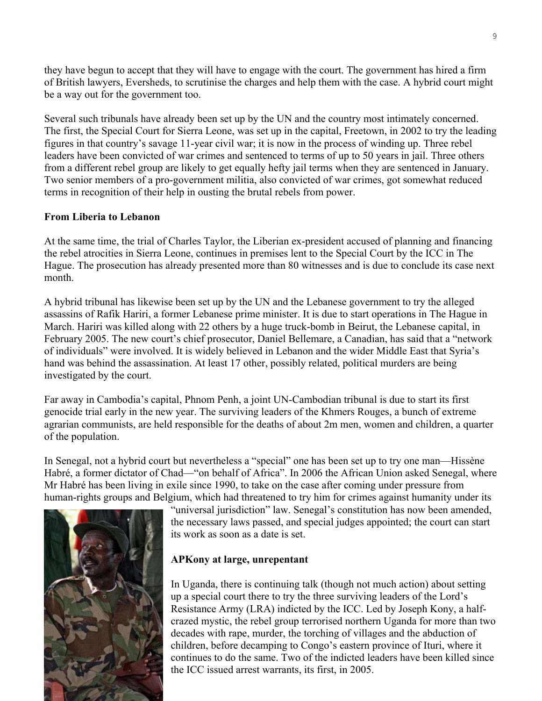they have begun to accept that they will have to engage with the court. The government has hired a firm of British lawyers, Eversheds, to scrutinise the charges and help them with the case. A hybrid court might be a way out for the government too.

Several such tribunals have already been set up by the UN and the country most intimately concerned. The first, the Special Court for Sierra Leone, was set up in the capital, Freetown, in 2002 to try the leading figures in that country's savage 11-year civil war; it is now in the process of winding up. Three rebel leaders have been convicted of war crimes and sentenced to terms of up to 50 years in jail. Three others from a different rebel group are likely to get equally hefty jail terms when they are sentenced in January. Two senior members of a pro-government militia, also convicted of war crimes, got somewhat reduced terms in recognition of their help in ousting the brutal rebels from power.

### **From Liberia to Lebanon**

At the same time, the trial of Charles Taylor, the Liberian ex-president accused of planning and financing the rebel atrocities in Sierra Leone, continues in premises lent to the Special Court by the ICC in The Hague. The prosecution has already presented more than 80 witnesses and is due to conclude its case next month.

A hybrid tribunal has likewise been set up by the UN and the Lebanese government to try the alleged assassins of Rafik Hariri, a former Lebanese prime minister. It is due to start operations in The Hague in March. Hariri was killed along with 22 others by a huge truck-bomb in Beirut, the Lebanese capital, in February 2005. The new court's chief prosecutor, Daniel Bellemare, a Canadian, has said that a "network of individuals" were involved. It is widely believed in Lebanon and the wider Middle East that Syria's hand was behind the assassination. At least 17 other, possibly related, political murders are being investigated by the court.

Far away in Cambodia's capital, Phnom Penh, a joint UN-Cambodian tribunal is due to start its first genocide trial early in the new year. The surviving leaders of the Khmers Rouges, a bunch of extreme agrarian communists, are held responsible for the deaths of about 2m men, women and children, a quarter of the population.

In Senegal, not a hybrid court but nevertheless a "special" one has been set up to try one man—Hissène Habré, a former dictator of Chad—"on behalf of Africa". In 2006 the African Union asked Senegal, where Mr Habré has been living in exile since 1990, to take on the case after coming under pressure from human-rights groups and Belgium, which had threatened to try him for crimes against humanity under its



"universal jurisdiction" law. Senegal's constitution has now been amended, the necessary laws passed, and special judges appointed; the court can start its work as soon as a date is set.

#### **APKony at large, unrepentant**

In Uganda, there is continuing talk (though not much action) about setting up a special court there to try the three surviving leaders of the Lord's Resistance Army (LRA) indicted by the ICC. Led by Joseph Kony, a halfcrazed mystic, the rebel group terrorised northern Uganda for more than two decades with rape, murder, the torching of villages and the abduction of children, before decamping to Congo's eastern province of Ituri, where it continues to do the same. Two of the indicted leaders have been killed since the ICC issued arrest warrants, its first, in 2005.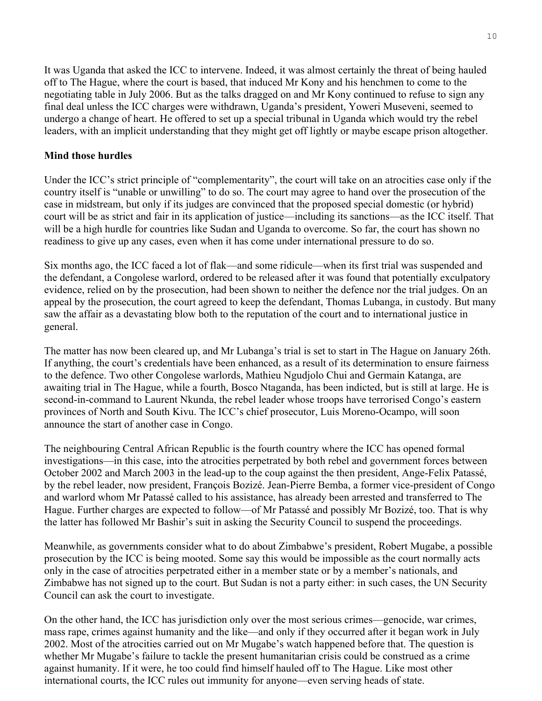It was Uganda that asked the ICC to intervene. Indeed, it was almost certainly the threat of being hauled off to The Hague, where the court is based, that induced Mr Kony and his henchmen to come to the negotiating table in July 2006. But as the talks dragged on and Mr Kony continued to refuse to sign any final deal unless the ICC charges were withdrawn, Uganda's president, Yoweri Museveni, seemed to undergo a change of heart. He offered to set up a special tribunal in Uganda which would try the rebel leaders, with an implicit understanding that they might get off lightly or maybe escape prison altogether.

#### **Mind those hurdles**

Under the ICC's strict principle of "complementarity", the court will take on an atrocities case only if the country itself is "unable or unwilling" to do so. The court may agree to hand over the prosecution of the case in midstream, but only if its judges are convinced that the proposed special domestic (or hybrid) court will be as strict and fair in its application of justice—including its sanctions—as the ICC itself. That will be a high hurdle for countries like Sudan and Uganda to overcome. So far, the court has shown no readiness to give up any cases, even when it has come under international pressure to do so.

Six months ago, the ICC faced a lot of flak—and some ridicule—when its first trial was suspended and the defendant, a Congolese warlord, ordered to be released after it was found that potentially exculpatory evidence, relied on by the prosecution, had been shown to neither the defence nor the trial judges. On an appeal by the prosecution, the court agreed to keep the defendant, Thomas Lubanga, in custody. But many saw the affair as a devastating blow both to the reputation of the court and to international justice in general.

The matter has now been cleared up, and Mr Lubanga's trial is set to start in The Hague on January 26th. If anything, the court's credentials have been enhanced, as a result of its determination to ensure fairness to the defence. Two other Congolese warlords, Mathieu Ngudjolo Chui and Germain Katanga, are awaiting trial in The Hague, while a fourth, Bosco Ntaganda, has been indicted, but is still at large. He is second-in-command to Laurent Nkunda, the rebel leader whose troops have terrorised Congo's eastern provinces of North and South Kivu. The ICC's chief prosecutor, Luis Moreno-Ocampo, will soon announce the start of another case in Congo.

The neighbouring Central African Republic is the fourth country where the ICC has opened formal investigations—in this case, into the atrocities perpetrated by both rebel and government forces between October 2002 and March 2003 in the lead-up to the coup against the then president, Ange-Felix Patassé, by the rebel leader, now president, François Bozizé. Jean-Pierre Bemba, a former vice-president of Congo and warlord whom Mr Patassé called to his assistance, has already been arrested and transferred to The Hague. Further charges are expected to follow—of Mr Patassé and possibly Mr Bozizé, too. That is why the latter has followed Mr Bashir's suit in asking the Security Council to suspend the proceedings.

Meanwhile, as governments consider what to do about Zimbabwe's president, Robert Mugabe, a possible prosecution by the ICC is being mooted. Some say this would be impossible as the court normally acts only in the case of atrocities perpetrated either in a member state or by a member's nationals, and Zimbabwe has not signed up to the court. But Sudan is not a party either: in such cases, the UN Security Council can ask the court to investigate.

On the other hand, the ICC has jurisdiction only over the most serious crimes—genocide, war crimes, mass rape, crimes against humanity and the like—and only if they occurred after it began work in July 2002. Most of the atrocities carried out on Mr Mugabe's watch happened before that. The question is whether Mr Mugabe's failure to tackle the present humanitarian crisis could be construed as a crime against humanity. If it were, he too could find himself hauled off to The Hague. Like most other international courts, the ICC rules out immunity for anyone—even serving heads of state.